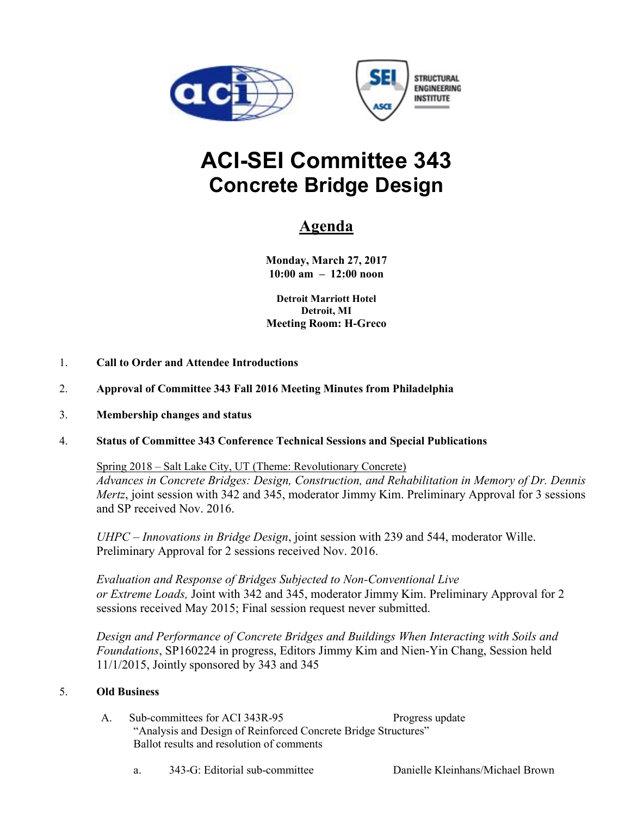



## **ACI-SEI Committee 343 Concrete Bridge Design**

## **Agenda**

**Monday, March 27, 2017 10:00 am – 12:00 noon** 

**Detroit Marriott Hotel Detroit, MI Meeting Room: H-Greco** 

- 1. **Call to Order and Attendee Introductions**
- 2. **Approval of Committee 343 Fall 2016 Meeting Minutes from Philadelphia**
- 3. **Membership changes and status**
- 4. **Status of Committee 343 Conference Technical Sessions and Special Publications**

Spring 2018 – Salt Lake City, UT (Theme: Revolutionary Concrete) *Advances in Concrete Bridges: Design, Construction, and Rehabilitation in Memory of Dr. Dennis Mertz*, joint session with 342 and 345, moderator Jimmy Kim. Preliminary Approval for 3 sessions and SP received Nov. 2016.

*UHPC – Innovations in Bridge Design*, joint session with 239 and 544, moderator Wille. Preliminary Approval for 2 sessions received Nov. 2016.

*Evaluation and Response of Bridges Subjected to Non-Conventional Live or Extreme Loads,* Joint with 342 and 345, moderator Jimmy Kim. Preliminary Approval for 2 sessions received May 2015; Final session request never submitted.

*Design and Performance of Concrete Bridges and Buildings When Interacting with Soils and Foundations*, SP160224 in progress, Editors Jimmy Kim and Nien-Yin Chang, Session held 11/1/2015, Jointly sponsored by 343 and 345

## 5. **Old Business**

- A. Sub-committees for ACI 343R-95 Progress update "Analysis and Design of Reinforced Concrete Bridge Structures" Ballot results and resolution of comments
	- a. 343-G: Editorial sub-committee Danielle Kleinhans/Michael Brown